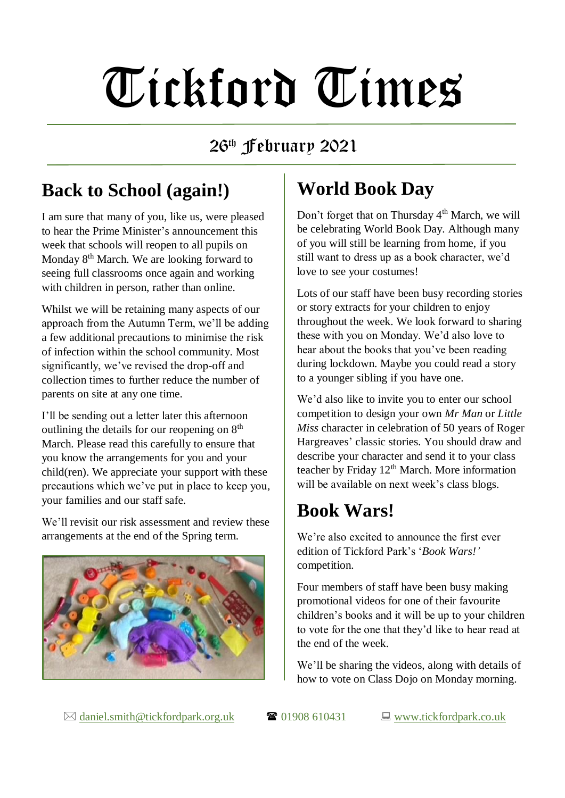# Tickford Times

#### 26th February 2021

#### **Back to School (again!)**

I am sure that many of you, like us, were pleased to hear the Prime Minister's announcement this week that schools will reopen to all pupils on Monday 8<sup>th</sup> March. We are looking forward to seeing full classrooms once again and working with children in person, rather than online.

Whilst we will be retaining many aspects of our approach from the Autumn Term, we'll be adding a few additional precautions to minimise the risk of infection within the school community. Most significantly, we've revised the drop-off and collection times to further reduce the number of parents on site at any one time.

I'll be sending out a letter later this afternoon outlining the details for our reopening on  $8<sup>th</sup>$ March. Please read this carefully to ensure that you know the arrangements for you and your child(ren). We appreciate your support with these precautions which we've put in place to keep you, your families and our staff safe.

We'll revisit our risk assessment and review these arrangements at the end of the Spring term.



## **World Book Day**

Don't forget that on Thursday 4<sup>th</sup> March, we will be celebrating World Book Day. Although many of you will still be learning from home, if you still want to dress up as a book character, we'd love to see your costumes!

Lots of our staff have been busy recording stories or story extracts for your children to enjoy throughout the week. We look forward to sharing these with you on Monday. We'd also love to hear about the books that you've been reading during lockdown. Maybe you could read a story to a younger sibling if you have one.

We'd also like to invite you to enter our school competition to design your own *Mr Man* or *Little Miss* character in celebration of 50 years of Roger Hargreaves' classic stories. You should draw and describe your character and send it to your class teacher by Friday  $12<sup>th</sup>$  March. More information will be available on next week's class blogs.

### **Book Wars!**

We're also excited to announce the first ever edition of Tickford Park's '*Book Wars!'* competition.

Four members of staff have been busy making promotional videos for one of their favourite children's books and it will be up to your children to vote for the one that they'd like to hear read at the end of the week.

We'll be sharing the videos, along with details of how to vote on Class Dojo on Monday morning.

 $\boxtimes$  [daniel.smith@tickfordpark.org.uk](mailto:daniel.smith@tickfordpark.org.uk)  $\bullet$  01908 610431  $\Box$  [www.tickfordpark.co.uk](http://www.tickfordpark.co.uk/)